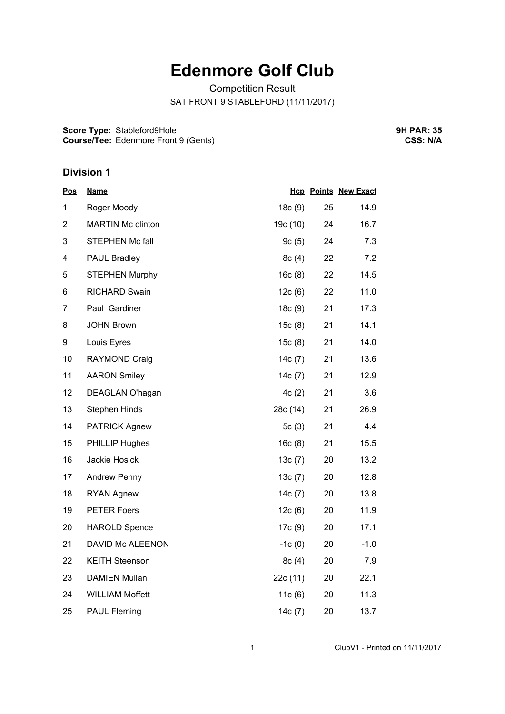# **Edenmore Golf Club**

Competition Result SAT FRONT 9 STABLEFORD (11/11/2017)

**Score Type:** Stableford9Hole **Course/Tee:** Edenmore Front 9 (Gents) **9H PAR: 35 CSS: N/A**

#### **Division 1**

| <b>Pos</b>     | <b>Name</b>              |           |    | <b>Hcp Points New Exact</b> |
|----------------|--------------------------|-----------|----|-----------------------------|
| 1              | Roger Moody              | 18c(9)    | 25 | 14.9                        |
| $\overline{2}$ | <b>MARTIN Mc clinton</b> | 19c (10)  | 24 | 16.7                        |
| 3              | <b>STEPHEN Mc fall</b>   | 9c(5)     | 24 | 7.3                         |
| 4              | PAUL Bradley             | 8c(4)     | 22 | 7.2                         |
| 5              | <b>STEPHEN Murphy</b>    | 16c(8)    | 22 | 14.5                        |
| 6              | <b>RICHARD Swain</b>     | 12c(6)    | 22 | 11.0                        |
| 7              | Paul Gardiner            | 18c(9)    | 21 | 17.3                        |
| 8              | <b>JOHN Brown</b>        | 15c(8)    | 21 | 14.1                        |
| 9              | Louis Eyres              | 15c(8)    | 21 | 14.0                        |
| 10             | RAYMOND Craig            | 14c(7)    | 21 | 13.6                        |
| 11             | <b>AARON Smiley</b>      | 14 $c(7)$ | 21 | 12.9                        |
| 12             | DEAGLAN O'hagan          | 4c(2)     | 21 | 3.6                         |
| 13             | <b>Stephen Hinds</b>     | 28c (14)  | 21 | 26.9                        |
| 14             | <b>PATRICK Agnew</b>     | 5 $c(3)$  | 21 | 4.4                         |
| 15             | PHILLIP Hughes           | 16c(8)    | 21 | 15.5                        |
| 16             | Jackie Hosick            | 13c(7)    | 20 | 13.2                        |
| 17             | <b>Andrew Penny</b>      | 13c(7)    | 20 | 12.8                        |
| 18             | <b>RYAN Agnew</b>        | 14c(7)    | 20 | 13.8                        |
| 19             | <b>PETER Foers</b>       | 12c(6)    | 20 | 11.9                        |
| 20             | <b>HAROLD Spence</b>     | 17c (9)   | 20 | 17.1                        |
| 21             | DAVID Mc ALEENON         | $-1c(0)$  | 20 | $-1.0$                      |
| 22             | <b>KEITH Steenson</b>    | 8c(4)     | 20 | 7.9                         |
| 23             | <b>DAMIEN Mullan</b>     | 22c(11)   | 20 | 22.1                        |
| 24             | <b>WILLIAM Moffett</b>   | 11c(6)    | 20 | 11.3                        |
| 25             | <b>PAUL Fleming</b>      | 14c(7)    | 20 | 13.7                        |

1 ClubV1 - Printed on 11/11/2017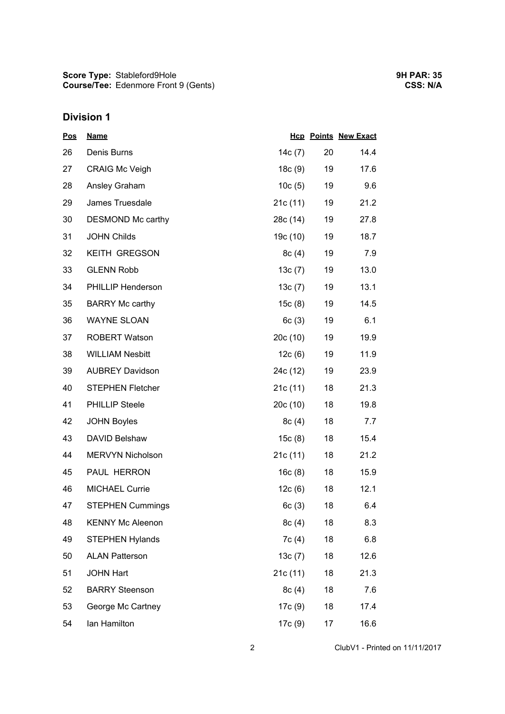## **Division 1**

| <u>Pos</u> | <b>Name</b>             |           |    | <b>Hcp Points New Exact</b> |
|------------|-------------------------|-----------|----|-----------------------------|
| 26         | Denis Burns             | 14 $c(7)$ | 20 | 14.4                        |
| 27         | <b>CRAIG Mc Veigh</b>   | 18c(9)    | 19 | 17.6                        |
| 28         | Ansley Graham           | 10c(5)    | 19 | 9.6                         |
| 29         | James Truesdale         | 21c(11)   | 19 | 21.2                        |
| 30         | DESMOND Mc carthy       | 28c (14)  | 19 | 27.8                        |
| 31         | <b>JOHN Childs</b>      | 19c (10)  | 19 | 18.7                        |
| 32         | <b>KEITH GREGSON</b>    | 8c(4)     | 19 | 7.9                         |
| 33         | <b>GLENN Robb</b>       | 13c(7)    | 19 | 13.0                        |
| 34         | PHILLIP Henderson       | 13c(7)    | 19 | 13.1                        |
| 35         | <b>BARRY Mc carthy</b>  | 15c(8)    | 19 | 14.5                        |
| 36         | <b>WAYNE SLOAN</b>      | 6c(3)     | 19 | 6.1                         |
| 37         | <b>ROBERT Watson</b>    | 20c(10)   | 19 | 19.9                        |
| 38         | <b>WILLIAM Nesbitt</b>  | 12c(6)    | 19 | 11.9                        |
| 39         | <b>AUBREY Davidson</b>  | 24c (12)  | 19 | 23.9                        |
| 40         | <b>STEPHEN Fletcher</b> | 21c(11)   | 18 | 21.3                        |
| 41         | <b>PHILLIP Steele</b>   | 20c(10)   | 18 | 19.8                        |
| 42         | <b>JOHN Boyles</b>      | 8c(4)     | 18 | 7.7                         |
| 43         | DAVID Belshaw           | 15c(8)    | 18 | 15.4                        |
| 44         | MERVYN Nicholson        | 21c(11)   | 18 | 21.2                        |
| 45         | PAUL HERRON             | 16c(8)    | 18 | 15.9                        |
| 46         | <b>MICHAEL Currie</b>   | 12c(6)    | 18 | 12.1                        |
| 47         | <b>STEPHEN Cummings</b> | 6c(3)     | 18 | 6.4                         |
| 48         | <b>KENNY Mc Aleenon</b> | 8c(4)     | 18 | 8.3                         |
| 49         | <b>STEPHEN Hylands</b>  | 7c(4)     | 18 | 6.8                         |
| 50         | <b>ALAN Patterson</b>   | 13c(7)    | 18 | 12.6                        |
| 51         | <b>JOHN Hart</b>        | 21c(11)   | 18 | 21.3                        |
| 52         | <b>BARRY Steenson</b>   | 8c(4)     | 18 | 7.6                         |
| 53         | George Mc Cartney       | 17c (9)   | 18 | 17.4                        |
| 54         | lan Hamilton            | 17c (9)   | 17 | 16.6                        |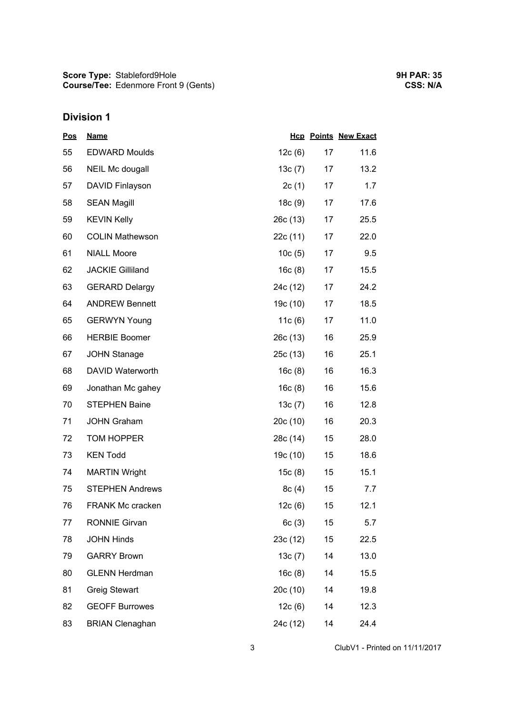## **Division 1**

| <u>Pos</u> | <b>Name</b>             |           |        | <b>Hcp Points New Exact</b> |
|------------|-------------------------|-----------|--------|-----------------------------|
| 55         | <b>EDWARD Moulds</b>    | 12c(6)    | 17     | 11.6                        |
| 56         | NEIL Mc dougall         | 13 $c(7)$ | 17     | 13.2                        |
| 57         | DAVID Finlayson         | 2c(1)     | 17     | 1.7                         |
| 58         | <b>SEAN Magill</b>      | 18c(9)    | 17     | 17.6                        |
| 59         | <b>KEVIN Kelly</b>      | 26c(13)   | 17     | 25.5                        |
| 60         | <b>COLIN Mathewson</b>  | 22c (11)  | 17     | 22.0                        |
| 61         | <b>NIALL Moore</b>      | 10c(5)    | 17     | 9.5                         |
| 62         | <b>JACKIE Gilliland</b> | 16c(8)    | 17     | 15.5                        |
| 63         | <b>GERARD Delargy</b>   | 24c (12)  | 17     | 24.2                        |
| 64         | <b>ANDREW Bennett</b>   | 19c (10)  | 17     | 18.5                        |
| 65         | <b>GERWYN Young</b>     | 11 $c(6)$ | 17     | 11.0                        |
| 66         | <b>HERBIE Boomer</b>    | 26c(13)   | 16     | 25.9                        |
| 67         | <b>JOHN Stanage</b>     | 25c(13)   | 16     | 25.1                        |
| 68         | DAVID Waterworth        | 16c(8)    | 16     | 16.3                        |
| 69         | Jonathan Mc gahey       | 16c(8)    | 16     | 15.6                        |
| 70         | <b>STEPHEN Baine</b>    | 13c(7)    | 16     | 12.8                        |
| 71         | <b>JOHN Graham</b>      | 20c(10)   | 16     | 20.3                        |
| 72         | TOM HOPPER              | 28c (14)  | $15\,$ | 28.0                        |
| 73         | <b>KEN Todd</b>         | 19c (10)  | 15     | 18.6                        |
| 74         | <b>MARTIN Wright</b>    | 15c(8)    | 15     | 15.1                        |
| 75         | <b>STEPHEN Andrews</b>  | 8c(4)     | 15     | 7.7                         |
| 76         | <b>FRANK Mc cracken</b> | 12c(6)    | 15     | 12.1                        |
| 77         | <b>RONNIE Girvan</b>    | 6c(3)     | 15     | 5.7                         |
| 78         | <b>JOHN Hinds</b>       | 23c (12)  | 15     | 22.5                        |
| 79         | <b>GARRY Brown</b>      | 13c(7)    | 14     | 13.0                        |
| 80         | <b>GLENN Herdman</b>    | 16c(8)    | 14     | 15.5                        |
| 81         | Greig Stewart           | 20c (10)  | 14     | 19.8                        |
| 82         | <b>GEOFF Burrowes</b>   | 12c(6)    | 14     | 12.3                        |
| 83         | <b>BRIAN Clenaghan</b>  | 24c (12)  | 14     | 24.4                        |